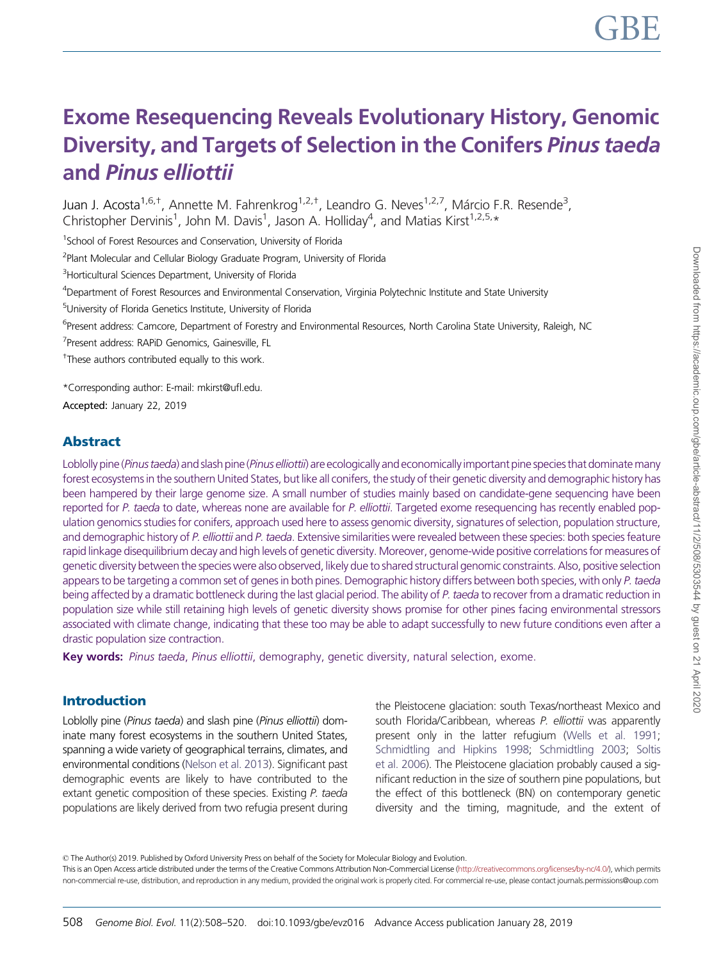# Exome Resequencing Reveals Evolutionary History, Genomic Diversity, and Targets of Selection in the Conifers Pinus taeda and Pinus elliottii

Juan J. Acosta<sup>1,6,†</sup>, Annette M. Fahrenkrog<sup>1,2,†</sup>, Leandro G. Neves<sup>1,2,7</sup>, Márcio F.R. Resende<sup>3</sup>, Christopher Dervinis<sup>1</sup>, John M. Davis<sup>1</sup>, Jason A. Holliday<sup>4</sup>, and Matias Kirst<sup>1,2,5,</sup>\*

<sup>1</sup>School of Forest Resources and Conservation, University of Florida

<sup>2</sup>Plant Molecular and Cellular Biology Graduate Program, University of Florida

<sup>3</sup>Horticultural Sciences Department, University of Florida

4 Department of Forest Resources and Environmental Conservation, Virginia Polytechnic Institute and State University

5 University of Florida Genetics Institute, University of Florida

<sup>6</sup>Present address: Camcore, Department of Forestry and Environmental Resources, North Carolina State University, Raleigh, NC

7 Present address: RAPiD Genomics, Gainesville, FL

<sup>+</sup>These authors contributed equally to this work.

\*Corresponding author: E-mail: mkirst@ufl.edu.

Accepted: January 22, 2019

# Abstract

Loblolly pine (Pinus taeda) and slash pine (Pinus elliottii) are ecologically and economically important pine species that dominate many forest ecosystems in the southern United States, but like all conifers, the study of their genetic diversity and demographic history has been hampered by their large genome size. A small number of studies mainly based on candidate-gene sequencing have been reported for P. taeda to date, whereas none are available for P. elliottii. Targeted exome resequencing has recently enabled population genomics studies for conifers, approach used here to assess genomic diversity, signatures of selection, population structure, and demographic history of P. elliottii and P. taeda. Extensive similarities were revealed between these species: both species feature rapid linkage disequilibrium decay and high levels of genetic diversity. Moreover, genome-wide positive correlations for measures of genetic diversity between the species were also observed, likely due to shared structural genomic constraints. Also, positive selection appears to be targeting a common set of genes in both pines. Demographic history differs between both species, with only P. taeda being affected by a dramatic bottleneck during the last glacial period. The ability of P. taeda to recover from a dramatic reduction in population size while still retaining high levels of genetic diversity shows promise for other pines facing environmental stressors associated with climate change, indicating that these too may be able to adapt successfully to new future conditions even after a drastic population size contraction.

Key words: Pinus taeda, Pinus elliottii, demography, genetic diversity, natural selection, exome.

#### Introduction

Loblolly pine (Pinus taeda) and slash pine (Pinus elliottii) dominate many forest ecosystems in the southern United States, spanning a wide variety of geographical terrains, climates, and environmental conditions [\(Nelson et al. 2013](#page-11-0)). Significant past demographic events are likely to have contributed to the extant genetic composition of these species. Existing P. taeda populations are likely derived from two refugia present during the Pleistocene glaciation: south Texas/northeast Mexico and south Florida/Caribbean, whereas P. elliottii was apparently present only in the latter refugium [\(Wells et al. 1991](#page-12-0); [Schmidtling and Hipkins 1998;](#page-11-0) [Schmidtling 2003](#page-11-0); [Soltis](#page-11-0) [et al. 2006\)](#page-11-0). The Pleistocene glaciation probably caused a significant reduction in the size of southern pine populations, but the effect of this bottleneck (BN) on contemporary genetic diversity and the timing, magnitude, and the extent of

© The Author(s) 2019. Published by Oxford University Press on behalf of the Society for Molecular Biology and Evolution.

This is an Open Access article distributed under the terms of the Creative Commons Attribution Non-Commercial License [\(http://creativecommons.org/licenses/by-nc/4.0/\)](http://creativecommons.org/licenses/by-nc/4.0/), which permits non-commercial re-use, distribution, and reproduction in any medium, provided the original work is properly cited. For commercial re-use, please contact journals.permissions@oup.com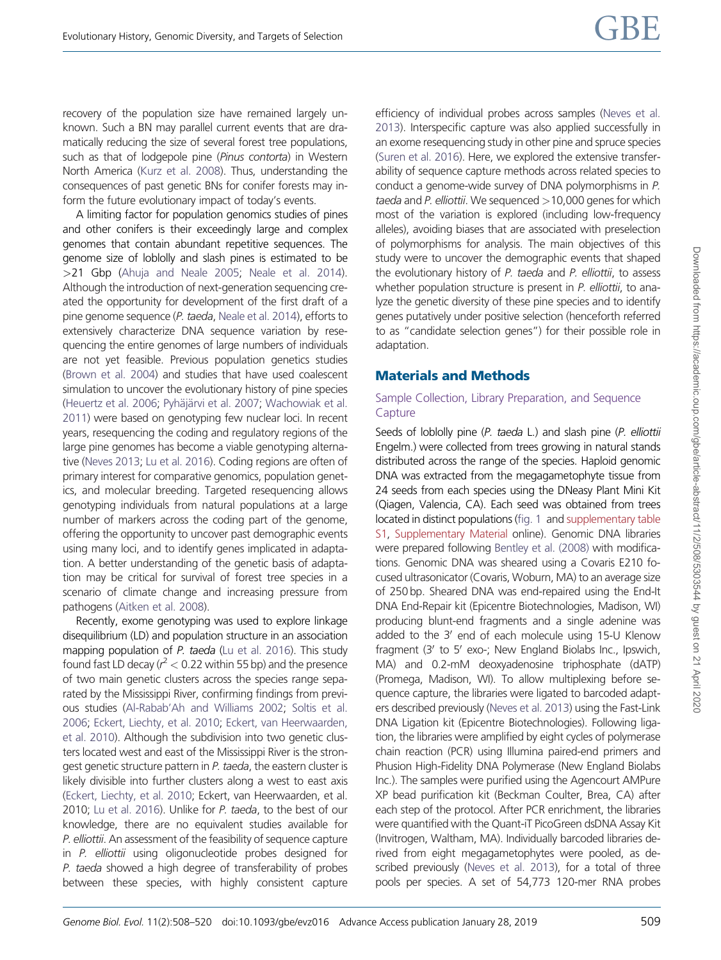recovery of the population size have remained largely unknown. Such a BN may parallel current events that are dramatically reducing the size of several forest tree populations, such as that of lodgepole pine (Pinus contorta) in Western North America [\(Kurz et al. 2008\)](#page-11-0). Thus, understanding the consequences of past genetic BNs for conifer forests may inform the future evolutionary impact of today's events.

A limiting factor for population genomics studies of pines and other conifers is their exceedingly large and complex genomes that contain abundant repetitive sequences. The genome size of loblolly and slash pines is estimated to be >21 Gbp [\(Ahuja and Neale 2005;](#page-10-0) [Neale et al. 2014](#page-11-0)). Although the introduction of next-generation sequencing created the opportunity for development of the first draft of a pine genome sequence (P. taeda, [Neale et al. 2014](#page-11-0)), efforts to extensively characterize DNA sequence variation by resequencing the entire genomes of large numbers of individuals are not yet feasible. Previous population genetics studies [\(Brown et al. 2004](#page-10-0)) and studies that have used coalescent simulation to uncover the evolutionary history of pine species [\(Heuertz et al. 2006;](#page-11-0) [Pyh](#page-11-0)äjärvi et al. 2007; [Wachowiak et al.](#page-12-0) [2011](#page-12-0)) were based on genotyping few nuclear loci. In recent years, resequencing the coding and regulatory regions of the large pine genomes has become a viable genotyping alternative [\(Neves 2013;](#page-11-0) [Lu et al. 2016](#page-11-0)). Coding regions are often of primary interest for comparative genomics, population genetics, and molecular breeding. Targeted resequencing allows genotyping individuals from natural populations at a large number of markers across the coding part of the genome, offering the opportunity to uncover past demographic events using many loci, and to identify genes implicated in adaptation. A better understanding of the genetic basis of adaptation may be critical for survival of forest tree species in a scenario of climate change and increasing pressure from pathogens [\(Aitken et al. 2008](#page-10-0)).

Recently, exome genotyping was used to explore linkage disequilibrium (LD) and population structure in an association mapping population of P. taeda [\(Lu et al. 2016\)](#page-11-0). This study found fast LD decay ( $r^2$  < 0.22 within 55 bp) and the presence of two main genetic clusters across the species range separated by the Mississippi River, confirming findings from previous studies [\(Al-Rabab'Ah and Williams 2002](#page-10-0); [Soltis et al.](#page-11-0) [2006](#page-11-0); [Eckert, Liechty, et al. 2010](#page-10-0); [Eckert, van Heerwaarden,](#page-10-0) [et al. 2010\)](#page-10-0). Although the subdivision into two genetic clusters located west and east of the Mississippi River is the strongest genetic structure pattern in P. taeda, the eastern cluster is likely divisible into further clusters along a west to east axis [\(Eckert, Liechty, et al. 2010](#page-10-0); Eckert, van Heerwaarden, et al. 2010; [Lu et al. 2016\)](#page-11-0). Unlike for P. taeda, to the best of our knowledge, there are no equivalent studies available for P. elliottii. An assessment of the feasibility of sequence capture in P. elliottii using oligonucleotide probes designed for P. taeda showed a high degree of transferability of probes between these species, with highly consistent capture efficiency of individual probes across samples [\(Neves et al.](#page-11-0) [2013\)](#page-11-0). Interspecific capture was also applied successfully in an exome resequencing study in other pine and spruce species [\(Suren et al. 2016](#page-11-0)). Here, we explored the extensive transferability of sequence capture methods across related species to conduct a genome-wide survey of DNA polymorphisms in P. taeda and P. elliottii. We sequenced  $>10,000$  genes for which most of the variation is explored (including low-frequency alleles), avoiding biases that are associated with preselection of polymorphisms for analysis. The main objectives of this study were to uncover the demographic events that shaped the evolutionary history of P. taeda and P. elliottii, to assess whether population structure is present in P. elliottii, to analyze the genetic diversity of these pine species and to identify genes putatively under positive selection (henceforth referred to as "candidate selection genes") for their possible role in adaptation.

# Materials and Methods

#### Sample Collection, Library Preparation, and Sequence **Capture**

Seeds of loblolly pine (P. taeda L.) and slash pine (P. elliottii Engelm.) were collected from trees growing in natural stands distributed across the range of the species. Haploid genomic DNA was extracted from the megagametophyte tissue from 24 seeds from each species using the DNeasy Plant Mini Kit (Qiagen, Valencia, CA). Each seed was obtained from trees located in distinct populations ([fig. 1](#page-2-0) and [supplementary table](https://academic.oup.com/gbe/article-lookup/doi/10.1093/gbe/evz016#supplementary-data) [S1,](https://academic.oup.com/gbe/article-lookup/doi/10.1093/gbe/evz016#supplementary-data) [Supplementary Material](https://academic.oup.com/gbe/article-lookup/doi/10.1093/gbe/evz016#supplementary-data) online). Genomic DNA libraries were prepared following [Bentley et al. \(2008\)](#page-10-0) with modifications. Genomic DNA was sheared using a Covaris E210 focused ultrasonicator (Covaris, Woburn, MA) to an average size of 250 bp. Sheared DNA was end-repaired using the End-It DNA End-Repair kit (Epicentre Biotechnologies, Madison, WI) producing blunt-end fragments and a single adenine was added to the  $3'$  end of each molecule using 15-U Klenow fragment (3' to 5' exo-; New England Biolabs Inc., Ipswich, MA) and 0.2-mM deoxyadenosine triphosphate (dATP) (Promega, Madison, WI). To allow multiplexing before sequence capture, the libraries were ligated to barcoded adapters described previously ([Neves et al. 2013](#page-11-0)) using the Fast-Link DNA Ligation kit (Epicentre Biotechnologies). Following ligation, the libraries were amplified by eight cycles of polymerase chain reaction (PCR) using Illumina paired-end primers and Phusion High-Fidelity DNA Polymerase (New England Biolabs Inc.). The samples were purified using the Agencourt AMPure XP bead purification kit (Beckman Coulter, Brea, CA) after each step of the protocol. After PCR enrichment, the libraries were quantified with the Quant-iT PicoGreen dsDNA Assay Kit (Invitrogen, Waltham, MA). Individually barcoded libraries derived from eight megagametophytes were pooled, as described previously [\(Neves et al. 2013](#page-11-0)), for a total of three pools per species. A set of 54,773 120-mer RNA probes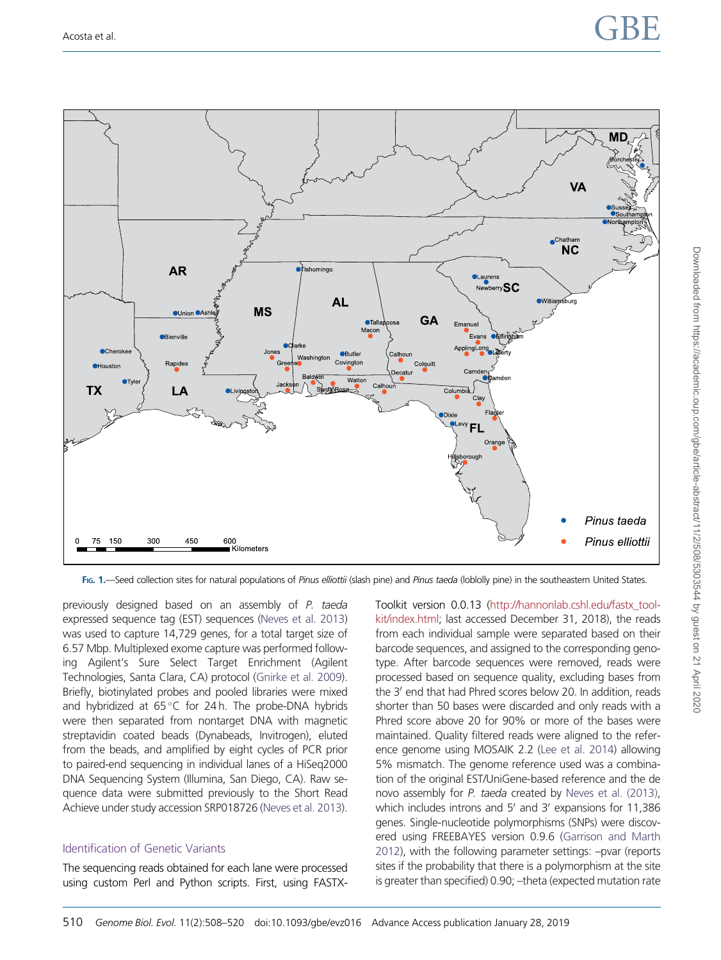# <span id="page-2-0"></span>Acosta et al.  $\begin{array}{ccc} \textsf{GBE} \end{array}$

Downloaded from https://academic.oup.com/gbe/article-abstract/11/2/508/5303544 by guest on 21 April 2020

Downloaded from https://academic.oup.com/gbe/article-abstract/11/2/508/5303544 by guest on 21 April 2020



FIG. 1.—Seed collection sites for natural populations of Pinus elliottii (slash pine) and Pinus taeda (loblolly pine) in the southeastern United States.

previously designed based on an assembly of P. taeda expressed sequence tag (EST) sequences [\(Neves et al. 2013\)](#page-11-0) was used to capture 14,729 genes, for a total target size of 6.57 Mbp. Multiplexed exome capture was performed following Agilent's Sure Select Target Enrichment (Agilent Technologies, Santa Clara, CA) protocol ([Gnirke et al. 2009](#page-11-0)). Briefly, biotinylated probes and pooled libraries were mixed and hybridized at 65 °C for 24h. The probe-DNA hybrids were then separated from nontarget DNA with magnetic streptavidin coated beads (Dynabeads, Invitrogen), eluted from the beads, and amplified by eight cycles of PCR prior to paired-end sequencing in individual lanes of a HiSeq2000 DNA Sequencing System (Illumina, San Diego, CA). Raw sequence data were submitted previously to the Short Read Achieve under study accession SRP018726 [\(Neves et al. 2013](#page-11-0)).

#### Identification of Genetic Variants

The sequencing reads obtained for each lane were processed using custom Perl and Python scripts. First, using FASTX- Toolkit version 0.0.13 [\(http://hannonlab.cshl.edu/fastx\\_tool](http://hannonlab.cshl.edu/fastx_toolkit/index.html)[kit/index.html;](http://hannonlab.cshl.edu/fastx_toolkit/index.html) last accessed December 31, 2018), the reads from each individual sample were separated based on their barcode sequences, and assigned to the corresponding genotype. After barcode sequences were removed, reads were processed based on sequence quality, excluding bases from the 3' end that had Phred scores below 20. In addition, reads shorter than 50 bases were discarded and only reads with a Phred score above 20 for 90% or more of the bases were maintained. Quality filtered reads were aligned to the reference genome using MOSAIK 2.2 ([Lee et al. 2014](#page-11-0)) allowing 5% mismatch. The genome reference used was a combination of the original EST/UniGene-based reference and the de novo assembly for P. taeda created by [Neves et al. \(2013\)](#page-11-0), which includes introns and  $5'$  and  $3'$  expansions for 11,386 genes. Single-nucleotide polymorphisms (SNPs) were discovered using FREEBAYES version 0.9.6 [\(Garrison and Marth](#page-11-0) [2012\)](#page-11-0), with the following parameter settings: –pvar (reports sites if the probability that there is a polymorphism at the site is greater than specified) 0.90; –theta (expected mutation rate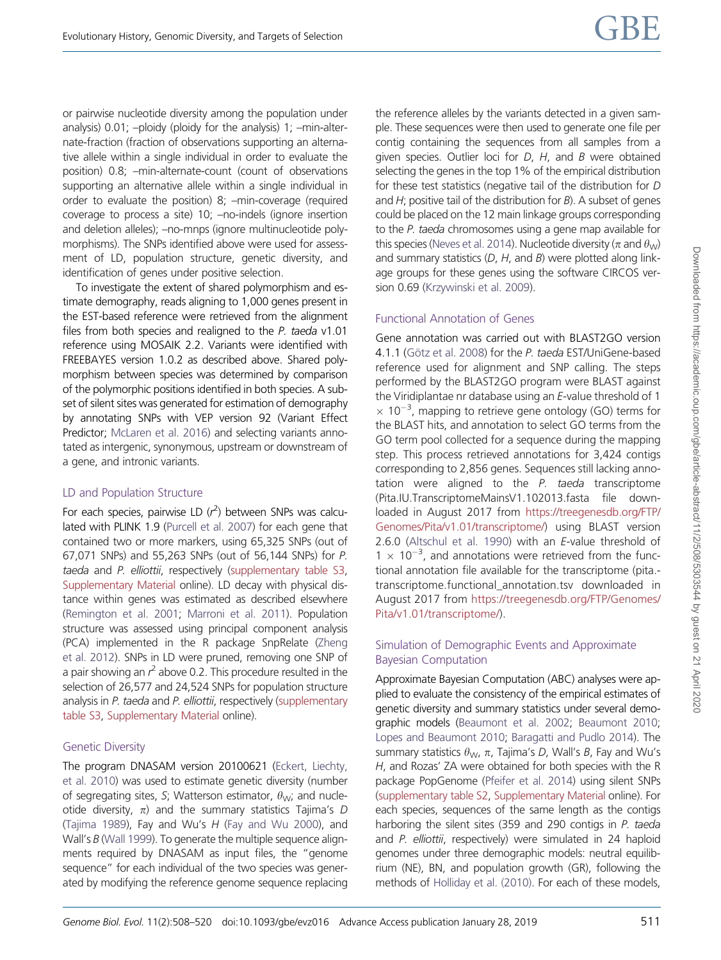or pairwise nucleotide diversity among the population under analysis) 0.01; –ploidy (ploidy for the analysis) 1; –min-alternate-fraction (fraction of observations supporting an alternative allele within a single individual in order to evaluate the position) 0.8; –min-alternate-count (count of observations supporting an alternative allele within a single individual in order to evaluate the position) 8; –min-coverage (required coverage to process a site) 10; –no-indels (ignore insertion and deletion alleles); –no-mnps (ignore multinucleotide polymorphisms). The SNPs identified above were used for assessment of LD, population structure, genetic diversity, and identification of genes under positive selection.

To investigate the extent of shared polymorphism and estimate demography, reads aligning to 1,000 genes present in the EST-based reference were retrieved from the alignment files from both species and realigned to the P. taeda v1.01 reference using MOSAIK 2.2. Variants were identified with FREEBAYES version 1.0.2 as described above. Shared polymorphism between species was determined by comparison of the polymorphic positions identified in both species. A subset of silent sites was generated for estimation of demography by annotating SNPs with VEP version 92 (Variant Effect Predictor; [McLaren et al. 2016](#page-11-0)) and selecting variants annotated as intergenic, synonymous, upstream or downstream of a gene, and intronic variants.

#### LD and Population Structure

For each species, pairwise LD  $(r^2)$  between SNPs was calculated with PLINK 1.9 ([Purcell et al. 2007](#page-11-0)) for each gene that contained two or more markers, using 65,325 SNPs (out of 67,071 SNPs) and 55,263 SNPs (out of 56,144 SNPs) for P. taeda and P. elliottii, respectively [\(supplementary table S3,](https://academic.oup.com/gbe/article-lookup/doi/10.1093/gbe/evz016#supplementary-data) [Supplementary Material](https://academic.oup.com/gbe/article-lookup/doi/10.1093/gbe/evz016#supplementary-data) online). LD decay with physical distance within genes was estimated as described elsewhere [\(Remington et al. 2001;](#page-11-0) [Marroni et al. 2011](#page-11-0)). Population structure was assessed using principal component analysis (PCA) implemented in the R package SnpRelate [\(Zheng](#page-12-0) [et al. 2012\)](#page-12-0). SNPs in LD were pruned, removing one SNP of a pair showing an  $r^2$  above 0.2. This procedure resulted in the selection of 26,577 and 24,524 SNPs for population structure analysis in P. taeda and P. elliottii, respectively [\(supplementary](https://academic.oup.com/gbe/article-lookup/doi/10.1093/gbe/evz016#supplementary-data) [table S3](https://academic.oup.com/gbe/article-lookup/doi/10.1093/gbe/evz016#supplementary-data), [Supplementary Material](https://academic.oup.com/gbe/article-lookup/doi/10.1093/gbe/evz016#supplementary-data) online).

#### Genetic Diversity

The program DNASAM version 20100621 ([Eckert, Liechty,](#page-10-0) [et al. 2010](#page-10-0)) was used to estimate genetic diversity (number of segregating sites, S; Watterson estimator,  $\theta_{\text{W}}$ ; and nucleotide diversity,  $\pi$ ) and the summary statistics Tajima's D [\(Tajima 1989](#page-11-0)), Fay and Wu's  $H$  [\(Fay and Wu 2000\)](#page-11-0), and Wall's B [\(Wall 1999\)](#page-12-0). To generate the multiple sequence alignments required by DNASAM as input files, the "genome sequence" for each individual of the two species was generated by modifying the reference genome sequence replacing the reference alleles by the variants detected in a given sample. These sequences were then used to generate one file per contig containing the sequences from all samples from a given species. Outlier loci for D, H, and B were obtained selecting the genes in the top 1% of the empirical distribution for these test statistics (negative tail of the distribution for D and  $H$ ; positive tail of the distribution for  $B$ ). A subset of genes could be placed on the 12 main linkage groups corresponding to the P. taeda chromosomes using a gene map available for this species [\(Neves et al. 2014\)](#page-11-0). Nucleotide diversity ( $\pi$  and  $\theta_{\text{M}}$ ) and summary statistics  $(D, H, \text{ and } B)$  were plotted along linkage groups for these genes using the software CIRCOS version 0.69 ([Krzywinski et al. 2009\)](#page-11-0).

# Functional Annotation of Genes

Gene annotation was carried out with BLAST2GO version 4.1.1 (Götz et al. 2008) for the P. taeda EST/UniGene-based reference used for alignment and SNP calling. The steps performed by the BLAST2GO program were BLAST against the Viridiplantae nr database using an E-value threshold of 1  $\times$  10<sup>-3</sup>, mapping to retrieve gene ontology (GO) terms for the BLAST hits, and annotation to select GO terms from the GO term pool collected for a sequence during the mapping step. This process retrieved annotations for 3,424 contigs corresponding to 2,856 genes. Sequences still lacking annotation were aligned to the P. taeda transcriptome (Pita.IU.TranscriptomeMainsV1.102013.fasta file downloaded in August 2017 from [https://treegenesdb.org/FTP/](https://treegenesdb.org/FTP/Genomes/Pita/v1.01/transcriptome/) [Genomes/Pita/v1.01/transcriptome/\)](https://treegenesdb.org/FTP/Genomes/Pita/v1.01/transcriptome/) using BLAST version 2.6.0 [\(Altschul et al. 1990](#page-10-0)) with an E-value threshold of  $1 \times 10^{-3}$ , and annotations were retrieved from the functional annotation file available for the transcriptome (pita. transcriptome.functional\_annotation.tsv downloaded in August 2017 from [https://treegenesdb.org/FTP/Genomes/](https://treegenesdb.org/FTP/Genomes/Pita/v1.01/transcriptome/) [Pita/v1.01/transcriptome/\)](https://treegenesdb.org/FTP/Genomes/Pita/v1.01/transcriptome/).

#### Simulation of Demographic Events and Approximate Bayesian Computation

Approximate Bayesian Computation (ABC) analyses were applied to evaluate the consistency of the empirical estimates of genetic diversity and summary statistics under several demographic models [\(Beaumont et al. 2002;](#page-10-0) [Beaumont 2010](#page-10-0); [Lopes and Beaumont 2010](#page-11-0); [Baragatti and Pudlo 2014](#page-10-0)). The summary statistics  $\theta_{\text{W}}$ ,  $\pi$ , Tajima's D, Wall's B, Fay and Wu's H, and Rozas' ZA were obtained for both species with the R package PopGenome [\(Pfeifer et al. 2014](#page-11-0)) using silent SNPs [\(supplementary table S2](https://academic.oup.com/gbe/article-lookup/doi/10.1093/gbe/evz016#supplementary-data), [Supplementary Material](https://academic.oup.com/gbe/article-lookup/doi/10.1093/gbe/evz016#supplementary-data) online). For each species, sequences of the same length as the contigs harboring the silent sites (359 and 290 contigs in P. taeda and P. elliottii, respectively) were simulated in 24 haploid genomes under three demographic models: neutral equilibrium (NE), BN, and population growth (GR), following the methods of [Holliday et al. \(2010\)](#page-11-0). For each of these models,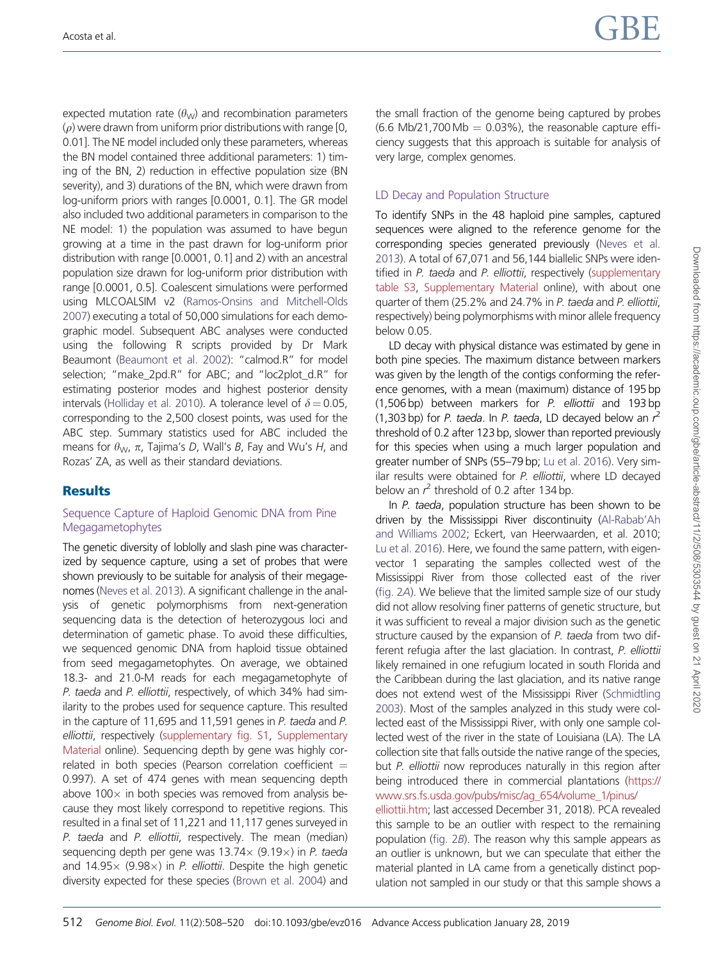expected mutation rate  $(\theta_{W})$  and recombination parameters  $(\rho)$  were drawn from uniform prior distributions with range [0, 0.01]. The NE model included only these parameters, whereas the BN model contained three additional parameters: 1) timing of the BN, 2) reduction in effective population size (BN severity), and 3) durations of the BN, which were drawn from log-uniform priors with ranges [0.0001, 0.1]. The GR model also included two additional parameters in comparison to the NE model: 1) the population was assumed to have begun growing at a time in the past drawn for log-uniform prior distribution with range [0.0001, 0.1] and 2) with an ancestral population size drawn for log-uniform prior distribution with range [0.0001, 0.5]. Coalescent simulations were performed using MLCOALSIM v2 [\(Ramos-Onsins and Mitchell-Olds](#page-11-0) [2007](#page-11-0)) executing a total of 50,000 simulations for each demographic model. Subsequent ABC analyses were conducted using the following R scripts provided by Dr Mark Beaumont ([Beaumont et al. 2002\)](#page-10-0): "calmod.R" for model selection; "make\_2pd.R" for ABC; and "loc2plot\_d.R" for estimating posterior modes and highest posterior density intervals ([Holliday et al. 2010\)](#page-11-0). A tolerance level of  $\delta = 0.05$ , corresponding to the 2,500 closest points, was used for the ABC step. Summary statistics used for ABC included the means for  $\theta_{\rm W}$ ,  $\pi$ , Tajima's D, Wall's B, Fay and Wu's H, and Rozas' ZA, as well as their standard deviations.

# **Results**

#### Sequence Capture of Haploid Genomic DNA from Pine Megagametophytes

The genetic diversity of loblolly and slash pine was characterized by sequence capture, using a set of probes that were shown previously to be suitable for analysis of their megagenomes [\(Neves et al. 2013\)](#page-11-0). A significant challenge in the analysis of genetic polymorphisms from next-generation sequencing data is the detection of heterozygous loci and determination of gametic phase. To avoid these difficulties, we sequenced genomic DNA from haploid tissue obtained from seed megagametophytes. On average, we obtained 18.3- and 21.0-M reads for each megagametophyte of P. taeda and P. elliottii, respectively, of which 34% had similarity to the probes used for sequence capture. This resulted in the capture of 11,695 and 11,591 genes in P. taeda and P. elliottii, respectively [\(supplementary fig. S1](https://academic.oup.com/gbe/article-lookup/doi/10.1093/gbe/evz016#supplementary-data), [Supplementary](https://academic.oup.com/gbe/article-lookup/doi/10.1093/gbe/evz016#supplementary-data) [Material](https://academic.oup.com/gbe/article-lookup/doi/10.1093/gbe/evz016#supplementary-data) online). Sequencing depth by gene was highly correlated in both species (Pearson correlation coefficient  $=$ 0.997). A set of 474 genes with mean sequencing depth above 100 $\times$  in both species was removed from analysis because they most likely correspond to repetitive regions. This resulted in a final set of 11,221 and 11,117 genes surveyed in P. taeda and P. elliottii, respectively. The mean (median) sequencing depth per gene was  $13.74 \times (9.19 \times)$  in P. taeda and 14.95 $\times$  (9.98 $\times$ ) in P. elliottii. Despite the high genetic diversity expected for these species [\(Brown et al. 2004\)](#page-10-0) and the small fraction of the genome being captured by probes  $(6.6 \text{ Mb}/21,700 \text{ Mb} = 0.03\%)$ , the reasonable capture efficiency suggests that this approach is suitable for analysis of very large, complex genomes.

# LD Decay and Population Structure

To identify SNPs in the 48 haploid pine samples, captured sequences were aligned to the reference genome for the corresponding species generated previously [\(Neves et al.](#page-11-0) [2013\)](#page-11-0). A total of 67,071 and 56,144 biallelic SNPs were identified in P. taeda and P. elliottii, respectively ([supplementary](https://academic.oup.com/gbe/article-lookup/doi/10.1093/gbe/evz016#supplementary-data) [table S3,](https://academic.oup.com/gbe/article-lookup/doi/10.1093/gbe/evz016#supplementary-data) [Supplementary Material](https://academic.oup.com/gbe/article-lookup/doi/10.1093/gbe/evz016#supplementary-data) online), with about one quarter of them (25.2% and 24.7% in P. taeda and P. elliottii, respectively) being polymorphisms with minor allele frequency below 0.05.

LD decay with physical distance was estimated by gene in both pine species. The maximum distance between markers was given by the length of the contigs conforming the reference genomes, with a mean (maximum) distance of 195 bp (1,506 bp) between markers for P. elliottii and 193 bp (1,303 bp) for P. taeda. In P. taeda, LD decayed below an  $r^2$ threshold of 0.2 after 123 bp, slower than reported previously for this species when using a much larger population and greater number of SNPs (55–79 bp; [Lu et al. 2016](#page-11-0)). Very similar results were obtained for P. elliottii, where LD decayed below an  $r^2$  threshold of 0.2 after 134 bp.

In P. taeda, population structure has been shown to be driven by the Mississippi River discontinuity [\(Al-Rabab'Ah](#page-10-0) [and Williams 2002](#page-10-0); Eckert, van Heerwaarden, et al. 2010; [Lu et al. 2016\)](#page-11-0). Here, we found the same pattern, with eigenvector 1 separating the samples collected west of the Mississippi River from those collected east of the river [\(fig. 2](#page-5-0)A). We believe that the limited sample size of our study did not allow resolving finer patterns of genetic structure, but it was sufficient to reveal a major division such as the genetic structure caused by the expansion of P. taeda from two different refugia after the last glaciation. In contrast, P. elliottii likely remained in one refugium located in south Florida and the Caribbean during the last glaciation, and its native range does not extend west of the Mississippi River ([Schmidtling](#page-11-0) [2003\)](#page-11-0). Most of the samples analyzed in this study were collected east of the Mississippi River, with only one sample collected west of the river in the state of Louisiana (LA). The LA collection site that falls outside the native range of the species, but P. elliottii now reproduces naturally in this region after being introduced there in commercial plantations [\(https://](https://www.srs.fs.usda.gov/pubs/misc/ag_654/volume_1/pinus/elliottii.htm) [www.srs.fs.usda.gov/pubs/misc/ag\\_654/volume\\_1/pinus/](https://www.srs.fs.usda.gov/pubs/misc/ag_654/volume_1/pinus/elliottii.htm)

[elliottii.htm](https://www.srs.fs.usda.gov/pubs/misc/ag_654/volume_1/pinus/elliottii.htm); last accessed December 31, 2018). PCA revealed this sample to be an outlier with respect to the remaining population ([fig. 2](#page-5-0)B). The reason why this sample appears as an outlier is unknown, but we can speculate that either the material planted in LA came from a genetically distinct population not sampled in our study or that this sample shows a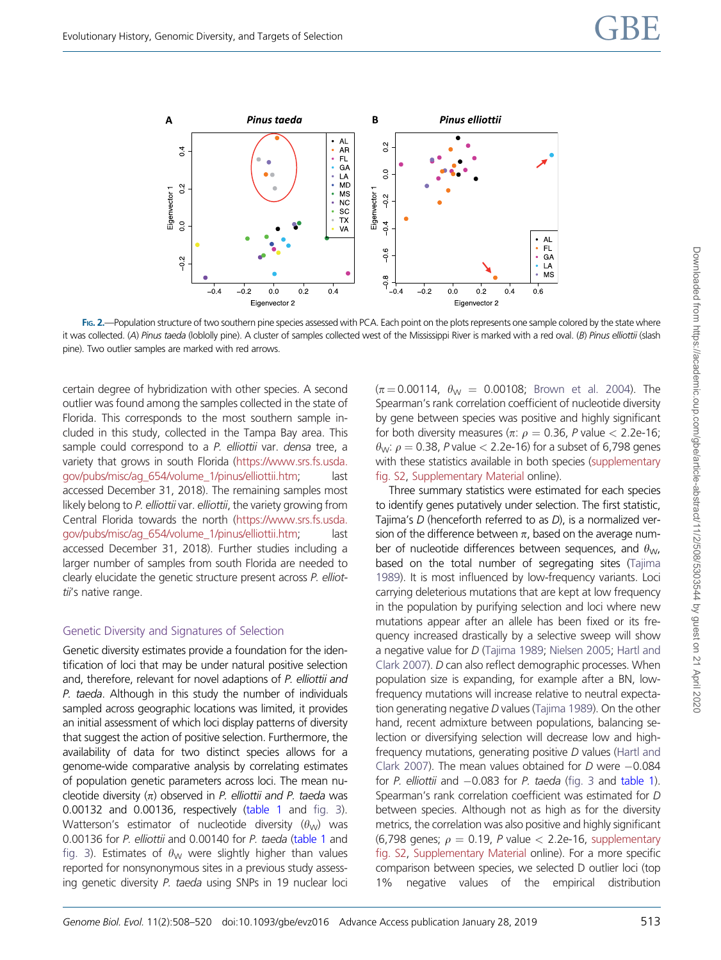<span id="page-5-0"></span>

FIG. 2.—Population structure of two southern pine species assessed with PCA. Each point on the plots represents one sample colored by the state where it was collected. (A) Pinus taeda (loblolly pine). A cluster of samples collected west of the Mississippi River is marked with a red oval. (B) Pinus elliottii (slash pine). Two outlier samples are marked with red arrows.

certain degree of hybridization with other species. A second outlier was found among the samples collected in the state of Florida. This corresponds to the most southern sample included in this study, collected in the Tampa Bay area. This sample could correspond to a P. elliottii var. densa tree, a variety that grows in south Florida [\(https://www.srs.fs.usda.](https://www.srs.fs.usda.gov/pubs/misc/ag_654/volume_1/pinus/elliottii.htm) [gov/pubs/misc/ag\\_654/volume\\_1/pinus/elliottii.htm;](https://www.srs.fs.usda.gov/pubs/misc/ag_654/volume_1/pinus/elliottii.htm) accessed December 31, 2018). The remaining samples most likely belong to P. elliottii var. elliottii, the variety growing from Central Florida towards the north [\(https://www.srs.fs.usda.](https://www.srs.fs.usda.gov/pubs/misc/ag_654/volume_1/pinus/elliottii.htm) [gov/pubs/misc/ag\\_654/volume\\_1/pinus/elliottii.htm;](https://www.srs.fs.usda.gov/pubs/misc/ag_654/volume_1/pinus/elliottii.htm) last accessed December 31, 2018). Further studies including a larger number of samples from south Florida are needed to clearly elucidate the genetic structure present across P. elliottii's native range.

#### Genetic Diversity and Signatures of Selection

Genetic diversity estimates provide a foundation for the identification of loci that may be under natural positive selection and, therefore, relevant for novel adaptions of P. elliottii and P. taeda. Although in this study the number of individuals sampled across geographic locations was limited, it provides an initial assessment of which loci display patterns of diversity that suggest the action of positive selection. Furthermore, the availability of data for two distinct species allows for a genome-wide comparative analysis by correlating estimates of population genetic parameters across loci. The mean nucleotide diversity  $(n)$  observed in P. elliottii and P. taeda was 0.00132 and 0.00136, respectively [\(table 1](#page-7-0) and [fig. 3](#page-6-0)). Watterson's estimator of nucleotide diversity  $(\theta_{W})$  was 0.00136 for P. elliottii and 0.00140 for P. taeda ([table 1](#page-7-0) and [fig. 3\)](#page-6-0). Estimates of  $\theta_{W}$  were slightly higher than values reported for nonsynonymous sites in a previous study assessing genetic diversity P. taeda using SNPs in 19 nuclear loci

 $(\pi = 0.00114, \ \theta_W = 0.00108;$  [Brown et al. 2004\)](#page-10-0). The Spearman's rank correlation coefficient of nucleotide diversity by gene between species was positive and highly significant for both diversity measures ( $\pi$ :  $\rho$  = 0.36, P value < 2.2e-16;  $\theta_{\rm W}$ :  $\rho = 0.38$ , P value  $< 2.2$ e-16) for a subset of 6,798 genes with these statistics available in both species ([supplementary](https://academic.oup.com/gbe/article-lookup/doi/10.1093/gbe/evz016#supplementary-data) [fig. S2](https://academic.oup.com/gbe/article-lookup/doi/10.1093/gbe/evz016#supplementary-data), [Supplementary Material](https://academic.oup.com/gbe/article-lookup/doi/10.1093/gbe/evz016#supplementary-data) online).

Three summary statistics were estimated for each species to identify genes putatively under selection. The first statistic, Tajima's D (henceforth referred to as D), is a normalized version of the difference between  $\pi$ , based on the average number of nucleotide differences between sequences, and  $\theta_{\rm W}$ , based on the total number of segregating sites ([Tajima](#page-11-0) [1989\)](#page-11-0). It is most influenced by low-frequency variants. Loci carrying deleterious mutations that are kept at low frequency in the population by purifying selection and loci where new mutations appear after an allele has been fixed or its frequency increased drastically by a selective sweep will show a negative value for D [\(Tajima 1989](#page-11-0); [Nielsen 2005;](#page-11-0) [Hartl and](#page-11-0) [Clark 2007\)](#page-11-0). D can also reflect demographic processes. When population size is expanding, for example after a BN, lowfrequency mutations will increase relative to neutral expectation generating negative D values [\(Tajima 1989\)](#page-11-0). On the other hand, recent admixture between populations, balancing selection or diversifying selection will decrease low and highfrequency mutations, generating positive D values ([Hartl and](#page-11-0) [Clark 2007\)](#page-11-0). The mean values obtained for  $D$  were  $-0.084$ for P. elliottii and  $-0.083$  for P. taeda ([fig. 3](#page-6-0) and [table 1\)](#page-7-0). Spearman's rank correlation coefficient was estimated for D between species. Although not as high as for the diversity metrics, the correlation was also positive and highly significant (6,798 genes;  $\rho = 0.19$ , P value  $<$  2.2e-16, [supplementary](https://academic.oup.com/gbe/article-lookup/doi/10.1093/gbe/evz016#supplementary-data) [fig. S2,](https://academic.oup.com/gbe/article-lookup/doi/10.1093/gbe/evz016#supplementary-data) [Supplementary Material](https://academic.oup.com/gbe/article-lookup/doi/10.1093/gbe/evz016#supplementary-data) online). For a more specific comparison between species, we selected D outlier loci (top 1% negative values of the empirical distribution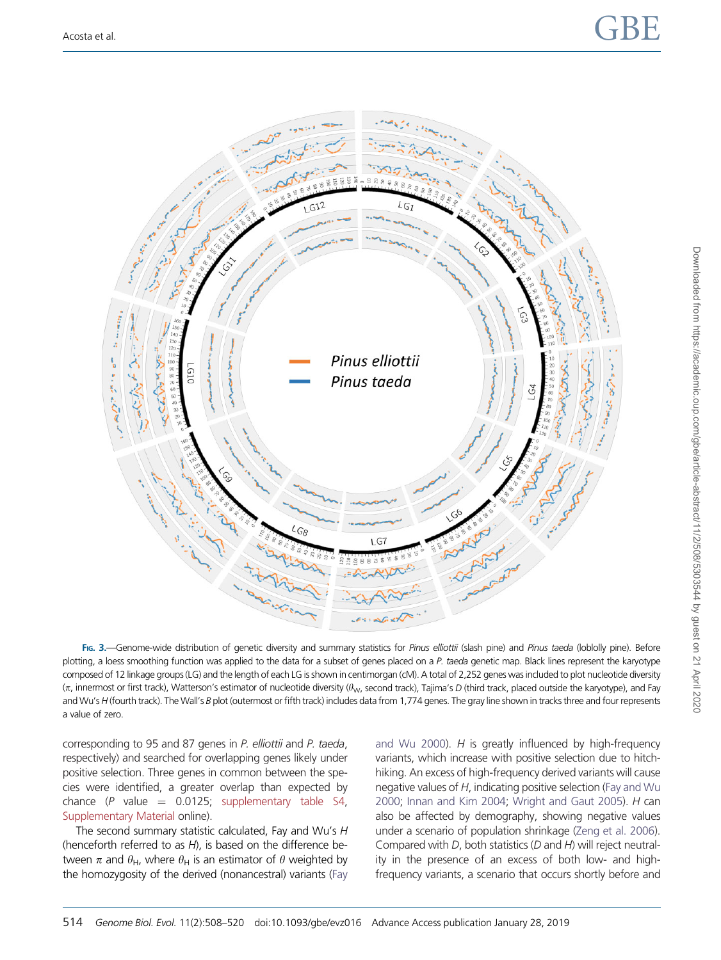<span id="page-6-0"></span>

FIG. 3. Genome-wide distribution of genetic diversity and summary statistics for Pinus elliottii (slash pine) and Pinus taeda (loblolly pine). Before plotting, a loess smoothing function was applied to the data for a subset of genes placed on a P. taeda genetic map. Black lines represent the karyotype composed of 12 linkage groups (LG) and the length of each LG is shown in centimorgan (cM). A total of 2,252 genes was included to plot nucleotide diversity  $(\pi$ , innermost or first track), Watterson's estimator of nucleotide diversity ( $\theta_{\rm W}$ , second track), Tajima's D (third track, placed outside the karyotype), and Fay and Wu's H (fourth track). The Wall's B plot (outermost or fifth track) includes data from 1,774 genes. The gray line shown in tracks three and four represents a value of zero.

corresponding to 95 and 87 genes in P. elliottii and P. taeda, respectively) and searched for overlapping genes likely under positive selection. Three genes in common between the species were identified, a greater overlap than expected by chance  $(P \text{ value} = 0.0125; \text{ supplementary table } S4,$ [Supplementary Material](https://academic.oup.com/gbe/article-lookup/doi/10.1093/gbe/evz016#supplementary-data) online).

The second summary statistic calculated, Fay and Wu's H (henceforth referred to as  $H$ ), is based on the difference between  $\pi$  and  $\theta_H$ , where  $\theta_H$  is an estimator of  $\theta$  weighted by the homozygosity of the derived (nonancestral) variants ([Fay](#page-11-0) [and Wu 2000](#page-11-0)).  $H$  is greatly influenced by high-frequency variants, which increase with positive selection due to hitchhiking. An excess of high-frequency derived variants will cause negative values of H, indicating positive selection [\(Fay and Wu](#page-11-0) [2000;](#page-11-0) [Innan and Kim 2004;](#page-11-0) [Wright and Gaut 2005](#page-12-0)). H can also be affected by demography, showing negative values under a scenario of population shrinkage [\(Zeng et al. 2006\)](#page-12-0). Compared with D, both statistics (D and H) will reject neutrality in the presence of an excess of both low- and highfrequency variants, a scenario that occurs shortly before and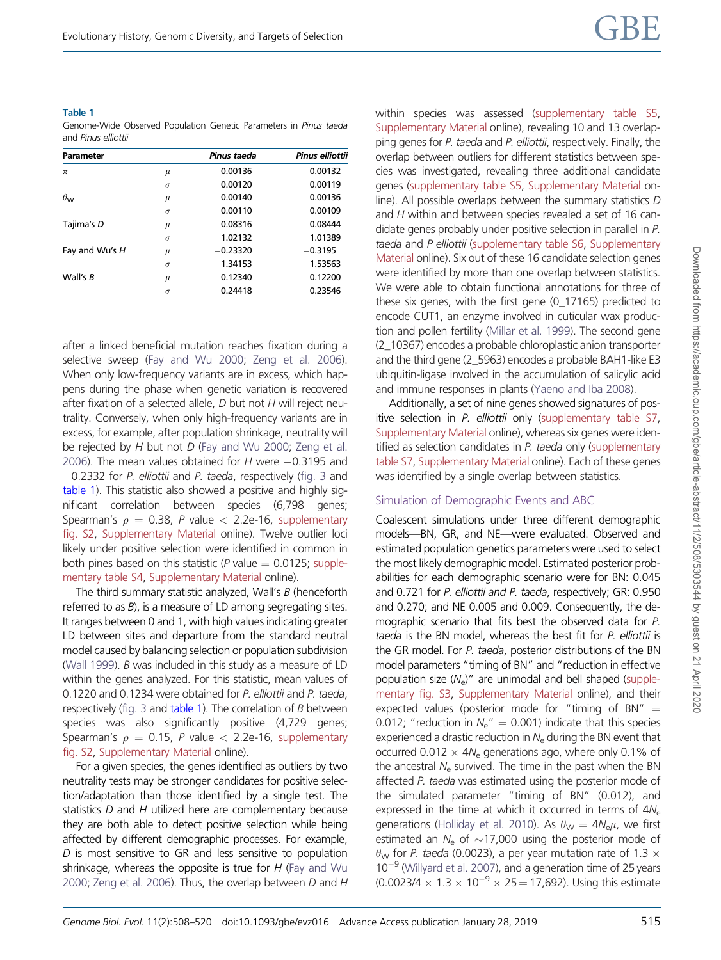#### <span id="page-7-0"></span>Table 1

Genome-Wide Observed Population Genetic Parameters in Pinus taeda and Pinus elliottii

| Parameter             |          | Pinus taeda | <b>Pinus elliottii</b> |
|-----------------------|----------|-------------|------------------------|
| $\pi$                 | $\mu$    | 0.00136     | 0.00132                |
|                       | $\sigma$ | 0.00120     | 0.00119                |
| $\theta_{\mathsf{W}}$ | $\mu$    | 0.00140     | 0.00136                |
|                       | $\sigma$ | 0.00110     | 0.00109                |
| Tajima's D            | $\mu$    | $-0.08316$  | $-0.08444$             |
|                       | $\sigma$ | 1.02132     | 1.01389                |
| Fay and Wu's H        | $\mu$    | $-0.23320$  | $-0.3195$              |
|                       | $\sigma$ | 1.34153     | 1.53563                |
| Wall's B              | $\mu$    | 0.12340     | 0.12200                |
|                       | $\sigma$ | 0.24418     | 0.23546                |

after a linked beneficial mutation reaches fixation during a selective sweep ([Fay and Wu 2000](#page-11-0); [Zeng et al. 2006](#page-12-0)). When only low-frequency variants are in excess, which happens during the phase when genetic variation is recovered after fixation of a selected allele, D but not H will reject neutrality. Conversely, when only high-frequency variants are in excess, for example, after population shrinkage, neutrality will be rejected by H but not D ([Fay and Wu 2000;](#page-11-0) [Zeng et al.](#page-12-0) [2006\)](#page-12-0). The mean values obtained for  $H$  were  $-0.3195$  and 0.2332 for P. elliottii and P. taeda, respectively [\(fig. 3](#page-6-0) and table 1). This statistic also showed a positive and highly significant correlation between species (6,798 genes; Spearman's  $\rho = 0.38$ , P value  $< 2.2e-16$ , [supplementary](https://academic.oup.com/gbe/article-lookup/doi/10.1093/gbe/evz016#supplementary-data) [fig. S2,](https://academic.oup.com/gbe/article-lookup/doi/10.1093/gbe/evz016#supplementary-data) [Supplementary Material](https://academic.oup.com/gbe/article-lookup/doi/10.1093/gbe/evz016#supplementary-data) online). Twelve outlier loci likely under positive selection were identified in common in both pines based on this statistic (P value  $= 0.0125$ ; [supple](https://academic.oup.com/gbe/article-lookup/doi/10.1093/gbe/evz016#supplementary-data)[mentary table S4](https://academic.oup.com/gbe/article-lookup/doi/10.1093/gbe/evz016#supplementary-data), [Supplementary Material](https://academic.oup.com/gbe/article-lookup/doi/10.1093/gbe/evz016#supplementary-data) online).

The third summary statistic analyzed, Wall's  $B$  (henceforth referred to as  $B$ ), is a measure of LD among segregating sites. It ranges between 0 and 1, with high values indicating greater LD between sites and departure from the standard neutral model caused by balancing selection or population subdivision [\(Wall 1999](#page-12-0)). B was included in this study as a measure of LD within the genes analyzed. For this statistic, mean values of 0.1220 and 0.1234 were obtained for P. elliottii and P. taeda, respectively [\(fig. 3](#page-6-0) and table 1). The correlation of  $B$  between species was also significantly positive (4,729 genes; Spearman's  $\rho = 0.15$ , P value  $<$  2.2e-16, [supplementary](https://academic.oup.com/gbe/article-lookup/doi/10.1093/gbe/evz016#supplementary-data) [fig. S2,](https://academic.oup.com/gbe/article-lookup/doi/10.1093/gbe/evz016#supplementary-data) [Supplementary Material](https://academic.oup.com/gbe/article-lookup/doi/10.1093/gbe/evz016#supplementary-data) online).

For a given species, the genes identified as outliers by two neutrality tests may be stronger candidates for positive selection/adaptation than those identified by a single test. The statistics  $D$  and  $H$  utilized here are complementary because they are both able to detect positive selection while being affected by different demographic processes. For example, D is most sensitive to GR and less sensitive to population shrinkage, whereas the opposite is true for  $H$  [\(Fay and Wu](#page-11-0) [2000;](#page-11-0) [Zeng et al. 2006](#page-12-0)). Thus, the overlap between D and H within species was assessed [\(supplementary table S5](https://academic.oup.com/gbe/article-lookup/doi/10.1093/gbe/evz016#supplementary-data), [Supplementary Material](https://academic.oup.com/gbe/article-lookup/doi/10.1093/gbe/evz016#supplementary-data) online), revealing 10 and 13 overlapping genes for P. taeda and P. elliottii, respectively. Finally, the overlap between outliers for different statistics between species was investigated, revealing three additional candidate genes ([supplementary table S5,](https://academic.oup.com/gbe/article-lookup/doi/10.1093/gbe/evz016#supplementary-data) [Supplementary Material](https://academic.oup.com/gbe/article-lookup/doi/10.1093/gbe/evz016#supplementary-data) online). All possible overlaps between the summary statistics D and H within and between species revealed a set of 16 candidate genes probably under positive selection in parallel in P. taeda and P elliottii ([supplementary table S6](https://academic.oup.com/gbe/article-lookup/doi/10.1093/gbe/evz016#supplementary-data), [Supplementary](https://academic.oup.com/gbe/article-lookup/doi/10.1093/gbe/evz016#supplementary-data) [Material](https://academic.oup.com/gbe/article-lookup/doi/10.1093/gbe/evz016#supplementary-data) online). Six out of these 16 candidate selection genes were identified by more than one overlap between statistics. We were able to obtain functional annotations for three of these six genes, with the first gene (0\_17165) predicted to encode CUT1, an enzyme involved in cuticular wax production and pollen fertility [\(Millar et al. 1999](#page-11-0)). The second gene (2\_10367) encodes a probable chloroplastic anion transporter and the third gene (2\_5963) encodes a probable BAH1-like E3 ubiquitin-ligase involved in the accumulation of salicylic acid and immune responses in plants [\(Yaeno and Iba 2008](#page-12-0)).

Additionally, a set of nine genes showed signatures of pos-itive selection in P. elliottii only [\(supplementary table S7](https://academic.oup.com/gbe/article-lookup/doi/10.1093/gbe/evz016#supplementary-data), [Supplementary Material](https://academic.oup.com/gbe/article-lookup/doi/10.1093/gbe/evz016#supplementary-data) online), whereas six genes were identified as selection candidates in P. taeda only ([supplementary](https://academic.oup.com/gbe/article-lookup/doi/10.1093/gbe/evz016#supplementary-data) [table S7](https://academic.oup.com/gbe/article-lookup/doi/10.1093/gbe/evz016#supplementary-data), [Supplementary Material](https://academic.oup.com/gbe/article-lookup/doi/10.1093/gbe/evz016#supplementary-data) online). Each of these genes was identified by a single overlap between statistics.

#### Simulation of Demographic Events and ABC

Coalescent simulations under three different demographic models—BN, GR, and NE—were evaluated. Observed and estimated population genetics parameters were used to select the most likely demographic model. Estimated posterior probabilities for each demographic scenario were for BN: 0.045 and 0.721 for P. elliottii and P. taeda, respectively; GR: 0.950 and 0.270; and NE 0.005 and 0.009. Consequently, the demographic scenario that fits best the observed data for P. taeda is the BN model, whereas the best fit for P. elliottii is the GR model. For P. taeda, posterior distributions of the BN model parameters "timing of BN" and "reduction in effective population size  $(N_e)$ " are unimodal and bell shaped ([supple](https://academic.oup.com/gbe/article-lookup/doi/10.1093/gbe/evz016#supplementary-data)[mentary fig. S3](https://academic.oup.com/gbe/article-lookup/doi/10.1093/gbe/evz016#supplementary-data), [Supplementary Material](https://academic.oup.com/gbe/article-lookup/doi/10.1093/gbe/evz016#supplementary-data) online), and their expected values (posterior mode for "timing of BN"  $=$ 0.012; "reduction in  $N_e$ " = 0.001) indicate that this species experienced a drastic reduction in  $N_e$  during the BN event that occurred 0.012  $\times$  4N<sub>e</sub> generations ago, where only 0.1% of the ancestral  $N_e$  survived. The time in the past when the BN affected P. taeda was estimated using the posterior mode of the simulated parameter "timing of BN" (0.012), and expressed in the time at which it occurred in terms of  $4N_e$ generations [\(Holliday et al. 2010\)](#page-11-0). As  $\theta_{\rm W} = 4N_{\rm e}\mu$ , we first estimated an  $N_e$  of  $\sim$ 17,000 using the posterior mode of  $\theta_{\rm W}$  for P. taeda (0.0023), a per year mutation rate of 1.3  $\times$  $10^{-9}$  [\(Willyard et al. 2007](#page-12-0)), and a generation time of 25 years  $(0.0023/4 \times 1.3 \times 10^{-9} \times 25 = 17,692)$ . Using this estimate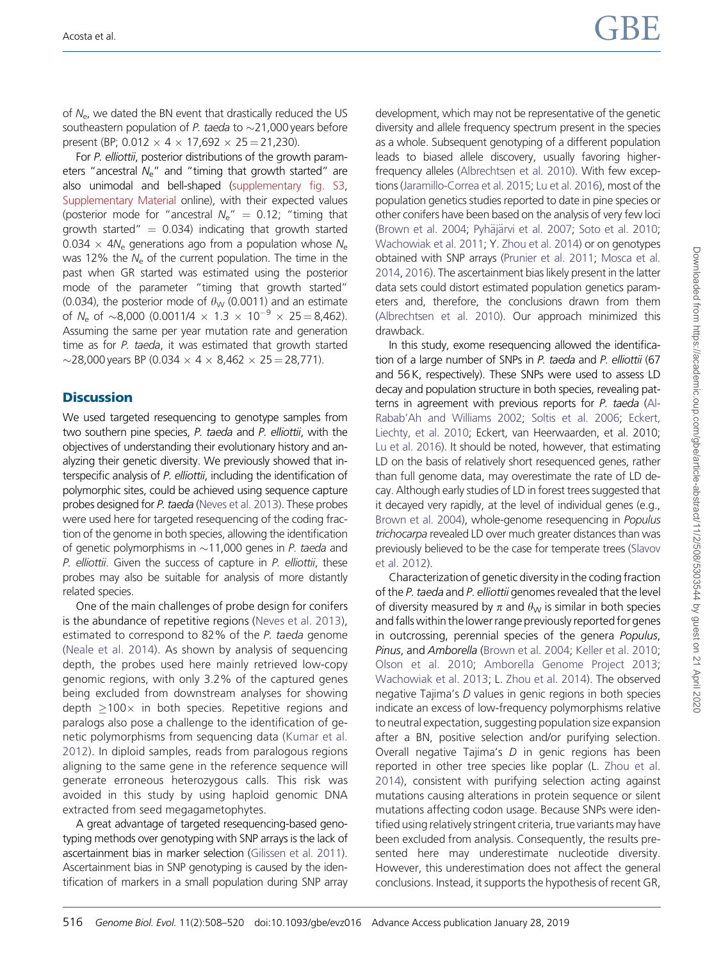of  $N_{\rm e}$ , we dated the BN event that drastically reduced the US southeastern population of P. taeda to  $\sim$  21,000 years before present (BP;  $0.012 \times 4 \times 17,692 \times 25 = 21,230$ ).

For P. elliottii, posterior distributions of the growth parameters "ancestral  $N_e$ " and "timing that growth started" are also unimodal and bell-shaped [\(supplementary fig. S3,](https://academic.oup.com/gbe/article-lookup/doi/10.1093/gbe/evz016#supplementary-data) [Supplementary Material](https://academic.oup.com/gbe/article-lookup/doi/10.1093/gbe/evz016#supplementary-data) online), with their expected values (posterior mode for "ancestral  $N_a$ " = 0.12; "timing that growth started"  $= 0.034$ ) indicating that growth started 0.034  $\times$  4N<sub>e</sub> generations ago from a population whose N<sub>e</sub> was 12% the  $N_e$  of the current population. The time in the past when GR started was estimated using the posterior mode of the parameter "timing that growth started" (0.034), the posterior mode of  $\theta_W$  (0.0011) and an estimate of N<sub>e</sub> of  $\sim$ 8.000 (0.0011/4  $\times$  1.3  $\times$  10<sup>-9</sup>  $\times$  25 = 8.462). Assuming the same per year mutation rate and generation time as for P, taeda, it was estimated that growth started  $\sim$ 28,000 years BP (0.034  $\times$  4  $\times$  8,462  $\times$  25 = 28,771).

#### **Discussion**

We used targeted resequencing to genotype samples from two southern pine species, P. taeda and P. elliottii, with the objectives of understanding their evolutionary history and analyzing their genetic diversity. We previously showed that interspecific analysis of P. elliottii, including the identification of polymorphic sites, could be achieved using sequence capture probes designed for P. taeda ([Neves et al. 2013\)](#page-11-0). These probes were used here for targeted resequencing of the coding fraction of the genome in both species, allowing the identification of genetic polymorphisms in  $\sim$  11,000 genes in P. taeda and P. elliottii. Given the success of capture in P. elliottii, these probes may also be suitable for analysis of more distantly related species.

One of the main challenges of probe design for conifers is the abundance of repetitive regions [\(Neves et al. 2013](#page-11-0)), estimated to correspond to 82% of the P. taeda genome ([Neale et al. 2014](#page-11-0)). As shown by analysis of sequencing depth, the probes used here mainly retrieved low-copy genomic regions, with only 3.2% of the captured genes being excluded from downstream analyses for showing depth  $\geq 100 \times$  in both species. Repetitive regions and paralogs also pose a challenge to the identification of genetic polymorphisms from sequencing data [\(Kumar et al.](#page-11-0) [2012](#page-11-0)). In diploid samples, reads from paralogous regions aligning to the same gene in the reference sequence will generate erroneous heterozygous calls. This risk was avoided in this study by using haploid genomic DNA extracted from seed megagametophytes.

A great advantage of targeted resequencing-based genotyping methods over genotyping with SNP arrays is the lack of ascertainment bias in marker selection [\(Gilissen et al. 2011](#page-11-0)). Ascertainment bias in SNP genotyping is caused by the identification of markers in a small population during SNP array development, which may not be representative of the genetic diversity and allele frequency spectrum present in the species as a whole. Subsequent genotyping of a different population leads to biased allele discovery, usually favoring higherfrequency alleles [\(Albrechtsen et al. 2010](#page-10-0)). With few exceptions [\(Jaramillo-Correa et al. 2015;](#page-11-0) [Lu et al. 2016\)](#page-11-0), most of the population genetics studies reported to date in pine species or other conifers have been based on the analysis of very few loci [\(Brown et al. 2004](#page-10-0); [Pyh](#page-11-0)ä[j](#page-11-0)ärvi et al. 2007; [Soto et al. 2010](#page-11-0); [Wachowiak et al. 2011;](#page-12-0) Y. [Zhou et al. 2014](#page-12-0)) or on genotypes obtained with SNP arrays [\(Prunier et al. 2011;](#page-11-0) [Mosca et al.](#page-11-0) [2014,](#page-11-0) [2016](#page-11-0)). The ascertainment bias likely present in the latter data sets could distort estimated population genetics parameters and, therefore, the conclusions drawn from them [\(Albrechtsen et al. 2010\)](#page-10-0). Our approach minimized this drawback.

In this study, exome resequencing allowed the identification of a large number of SNPs in P. taeda and P. elliottii (67 and 56 K, respectively). These SNPs were used to assess LD decay and population structure in both species, revealing patterns in agreement with previous reports for P. taeda ([Al-](#page-10-0)[Rabab'Ah and Williams 2002](#page-10-0); [Soltis et al. 2006;](#page-11-0) [Eckert,](#page-10-0) [Liechty, et al. 2010](#page-10-0); Eckert, van Heerwaarden, et al. 2010; [Lu et al. 2016](#page-11-0)). It should be noted, however, that estimating LD on the basis of relatively short resequenced genes, rather than full genome data, may overestimate the rate of LD decay. Although early studies of LD in forest trees suggested that it decayed very rapidly, at the level of individual genes (e.g., [Brown et al. 2004](#page-10-0)), whole-genome resequencing in Populus trichocarpa revealed LD over much greater distances than was previously believed to be the case for temperate trees ([Slavov](#page-11-0) [et al. 2012\)](#page-11-0).

Characterization of genetic diversity in the coding fraction of the P. taeda and P. elliottii genomes revealed that the level of diversity measured by  $\pi$  and  $\theta_{\rm W}$  is similar in both species and falls within the lower range previously reported for genes in outcrossing, perennial species of the genera Populus, Pinus, and Amborella ([Brown et al. 2004;](#page-10-0) [Keller et al. 2010](#page-11-0); [Olson et al. 2010;](#page-11-0) [Amborella Genome Project 2013](#page-10-0); [Wachowiak et al. 2013](#page-12-0); L. [Zhou et al. 2014\)](#page-12-0). The observed negative Tajima's D values in genic regions in both species indicate an excess of low-frequency polymorphisms relative to neutral expectation, suggesting population size expansion after a BN, positive selection and/or purifying selection. Overall negative Tajima's D in genic regions has been reported in other tree species like poplar (L. [Zhou et al.](#page-12-0) [2014](#page-12-0)), consistent with purifying selection acting against mutations causing alterations in protein sequence or silent mutations affecting codon usage. Because SNPs were identified using relatively stringent criteria, true variants may have been excluded from analysis. Consequently, the results presented here may underestimate nucleotide diversity. However, this underestimation does not affect the general conclusions. Instead, it supports the hypothesis of recent GR,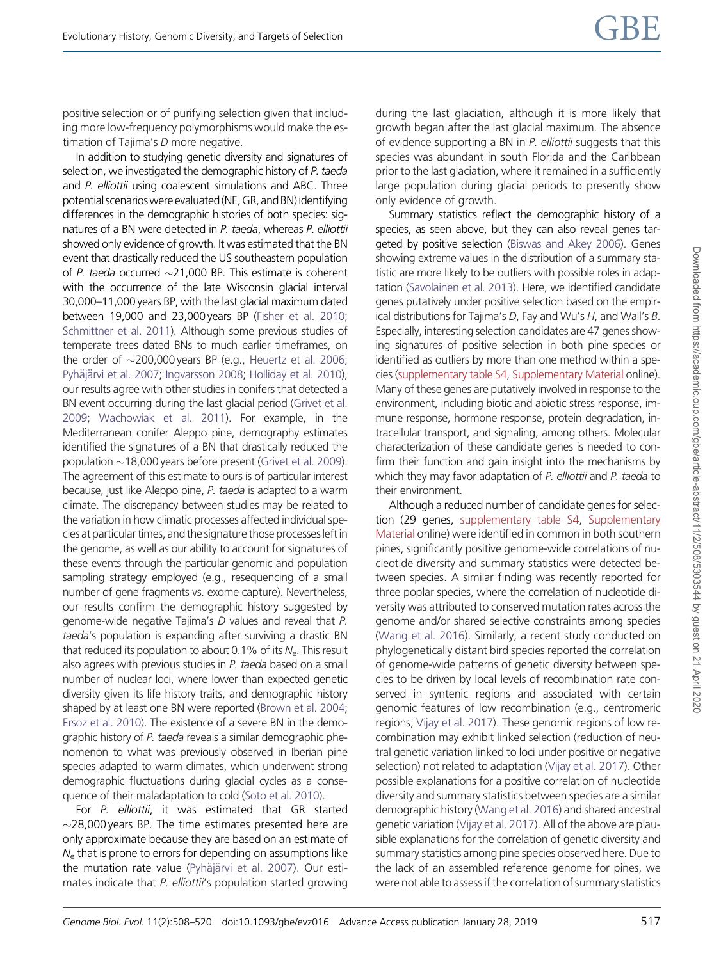positive selection or of purifying selection given that including more low-frequency polymorphisms would make the estimation of Tajima's D more negative.

In addition to studying genetic diversity and signatures of selection, we investigated the demographic history of P. taeda and P. elliottii using coalescent simulations and ABC. Three potential scenarios were evaluated (NE, GR, and BN) identifying differences in the demographic histories of both species: signatures of a BN were detected in P. taeda, whereas P. elliottii showed only evidence of growth. It was estimated that the BN event that drastically reduced the US southeastern population of P. taeda occurred  $\sim$ 21,000 BP. This estimate is coherent with the occurrence of the late Wisconsin glacial interval 30,000–11,000 years BP, with the last glacial maximum dated between 19,000 and 23,000 years BP [\(Fisher et al. 2010;](#page-11-0) [Schmittner et al. 2011\)](#page-11-0). Although some previous studies of temperate trees dated BNs to much earlier timeframes, on the order of  $\sim$ 200,000 years BP (e.g., [Heuertz et al. 2006;](#page-11-0) [Pyh](#page-11-0)äjä[rvi et al. 2007](#page-11-0); [Ingvarsson 2008;](#page-11-0) [Holliday et al. 2010](#page-11-0)), our results agree with other studies in conifers that detected a BN event occurring during the last glacial period ([Grivet et al.](#page-11-0) [2009](#page-11-0); [Wachowiak et al. 2011](#page-12-0)). For example, in the Mediterranean conifer Aleppo pine, demography estimates identified the signatures of a BN that drastically reduced the population  $\sim$  18,000 years before present [\(Grivet et al. 2009](#page-11-0)). The agreement of this estimate to ours is of particular interest because, just like Aleppo pine, P. taeda is adapted to a warm climate. The discrepancy between studies may be related to the variation in how climatic processes affected individual species at particular times, and the signature those processes left in the genome, as well as our ability to account for signatures of these events through the particular genomic and population sampling strategy employed (e.g., resequencing of a small number of gene fragments vs. exome capture). Nevertheless, our results confirm the demographic history suggested by genome-wide negative Tajima's D values and reveal that P. taeda's population is expanding after surviving a drastic BN that reduced its population to about 0.1% of its  $N_{e}$ . This result also agrees with previous studies in P. taeda based on a small number of nuclear loci, where lower than expected genetic diversity given its life history traits, and demographic history shaped by at least one BN were reported [\(Brown et al. 2004;](#page-10-0) [Ersoz et al. 2010](#page-10-0)). The existence of a severe BN in the demographic history of P. taeda reveals a similar demographic phenomenon to what was previously observed in Iberian pine species adapted to warm climates, which underwent strong demographic fluctuations during glacial cycles as a consequence of their maladaptation to cold [\(Soto et al. 2010\)](#page-11-0).

For P. elliottii, it was estimated that GR started  $\sim$ 28,000 years BP. The time estimates presented here are only approximate because they are based on an estimate of  $N<sub>e</sub>$  that is prone to errors for depending on assumptions like the mutation rate value ([Pyh](#page-11-0)ä[j](#page-11-0)ärvi et al. 2007). Our estimates indicate that P. elliottii's population started growing

during the last glaciation, although it is more likely that growth began after the last glacial maximum. The absence of evidence supporting a BN in P. elliottii suggests that this species was abundant in south Florida and the Caribbean prior to the last glaciation, where it remained in a sufficiently large population during glacial periods to presently show only evidence of growth.

Summary statistics reflect the demographic history of a species, as seen above, but they can also reveal genes targeted by positive selection ([Biswas and Akey 2006\)](#page-10-0). Genes showing extreme values in the distribution of a summary statistic are more likely to be outliers with possible roles in adaptation [\(Savolainen et al. 2013\)](#page-11-0). Here, we identified candidate genes putatively under positive selection based on the empirical distributions for Tajima's D, Fay and Wu's H, and Wall's B. Especially, interesting selection candidates are 47 genes showing signatures of positive selection in both pine species or identified as outliers by more than one method within a species [\(supplementary table S4,](https://academic.oup.com/gbe/article-lookup/doi/10.1093/gbe/evz016#supplementary-data) [Supplementary Material](https://academic.oup.com/gbe/article-lookup/doi/10.1093/gbe/evz016#supplementary-data) online). Many of these genes are putatively involved in response to the environment, including biotic and abiotic stress response, immune response, hormone response, protein degradation, intracellular transport, and signaling, among others. Molecular characterization of these candidate genes is needed to confirm their function and gain insight into the mechanisms by which they may favor adaptation of P. elliottii and P. taeda to their environment.

Although a reduced number of candidate genes for selection (29 genes, [supplementary table S4,](https://academic.oup.com/gbe/article-lookup/doi/10.1093/gbe/evz016#supplementary-data) [Supplementary](https://academic.oup.com/gbe/article-lookup/doi/10.1093/gbe/evz016#supplementary-data) [Material](https://academic.oup.com/gbe/article-lookup/doi/10.1093/gbe/evz016#supplementary-data) online) were identified in common in both southern pines, significantly positive genome-wide correlations of nucleotide diversity and summary statistics were detected between species. A similar finding was recently reported for three poplar species, where the correlation of nucleotide diversity was attributed to conserved mutation rates across the genome and/or shared selective constraints among species [\(Wang et al. 2016\)](#page-12-0). Similarly, a recent study conducted on phylogenetically distant bird species reported the correlation of genome-wide patterns of genetic diversity between species to be driven by local levels of recombination rate conserved in syntenic regions and associated with certain genomic features of low recombination (e.g., centromeric regions; [Vijay et al. 2017](#page-12-0)). These genomic regions of low recombination may exhibit linked selection (reduction of neutral genetic variation linked to loci under positive or negative selection) not related to adaptation ([Vijay et al. 2017\)](#page-12-0). Other possible explanations for a positive correlation of nucleotide diversity and summary statistics between species are a similar demographic history ([Wang et al. 2016\)](#page-12-0) and shared ancestral genetic variation ([Vijay et al. 2017\)](#page-12-0). All of the above are plausible explanations for the correlation of genetic diversity and summary statistics among pine species observed here. Due to the lack of an assembled reference genome for pines, we were not able to assess if the correlation of summary statistics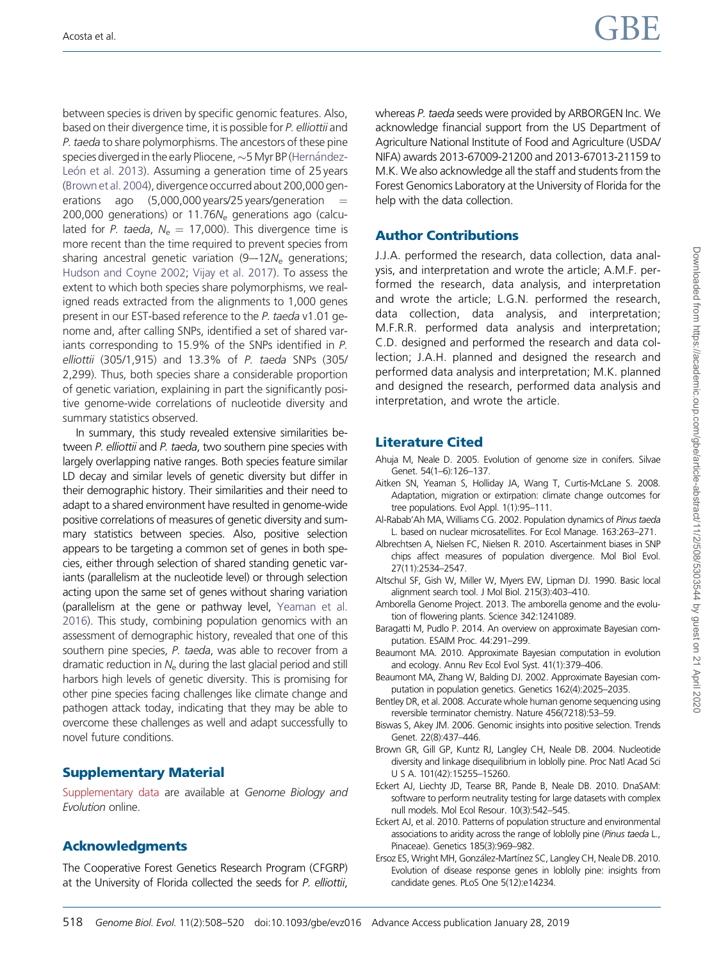<span id="page-10-0"></span>between species is driven by specific genomic features. Also, based on their divergence time, it is possible for P. elliottii and P. taeda to share polymorphisms. The ancestors of these pine species diverged in the early Pliocene,  $\sim$  5 Myr BP [\(Hern](#page-11-0)ández-León et al. 2013). Assuming a generation time of 25 years (Brown etal. 2004), divergence occurred about 200,000 generations ago  $(5,000,000$  years/25 years/generation  $=$ 200,000 generations) or  $11.76N<sub>e</sub>$  generations ago (calculated for *P. taeda, N<sub>e</sub>* = 17,000). This divergence time is more recent than the time required to prevent species from sharing ancestral genetic variation  $(9-12N_e)$  generations; [Hudson and Coyne 2002](#page-11-0); [Vijay et al. 2017\)](#page-12-0). To assess the extent to which both species share polymorphisms, we realigned reads extracted from the alignments to 1,000 genes present in our EST-based reference to the P. taeda v1.01 genome and, after calling SNPs, identified a set of shared variants corresponding to 15.9% of the SNPs identified in P. elliottii (305/1,915) and 13.3% of P. taeda SNPs (305/ 2,299). Thus, both species share a considerable proportion of genetic variation, explaining in part the significantly positive genome-wide correlations of nucleotide diversity and summary statistics observed.

In summary, this study revealed extensive similarities between P. elliottii and P. taeda, two southern pine species with largely overlapping native ranges. Both species feature similar LD decay and similar levels of genetic diversity but differ in their demographic history. Their similarities and their need to adapt to a shared environment have resulted in genome-wide positive correlations of measures of genetic diversity and summary statistics between species. Also, positive selection appears to be targeting a common set of genes in both species, either through selection of shared standing genetic variants (parallelism at the nucleotide level) or through selection acting upon the same set of genes without sharing variation (parallelism at the gene or pathway level, [Yeaman et al.](#page-12-0) [2016\)](#page-12-0). This study, combining population genomics with an assessment of demographic history, revealed that one of this southern pine species, P. taeda, was able to recover from a dramatic reduction in  $N_e$  during the last glacial period and still harbors high levels of genetic diversity. This is promising for other pine species facing challenges like climate change and pathogen attack today, indicating that they may be able to overcome these challenges as well and adapt successfully to novel future conditions.

# Supplementary Material

[Supplementary data](https://academic.oup.com/gbe/article-lookup/doi/10.1093/gbe/evz016#supplementary-data) are available at Genome Biology and Evolution online.

# Acknowledgments

The Cooperative Forest Genetics Research Program (CFGRP) at the University of Florida collected the seeds for P. elliottii, whereas P. taeda seeds were provided by ARBORGEN Inc. We acknowledge financial support from the US Department of Agriculture National Institute of Food and Agriculture (USDA/ NIFA) awards 2013-67009-21200 and 2013-67013-21159 to M.K. We also acknowledge all the staff and students from the Forest Genomics Laboratory at the University of Florida for the help with the data collection.

# Author Contributions

J.J.A. performed the research, data collection, data analysis, and interpretation and wrote the article; A.M.F. performed the research, data analysis, and interpretation and wrote the article; L.G.N. performed the research, data collection, data analysis, and interpretation; M.F.R.R. performed data analysis and interpretation; C.D. designed and performed the research and data collection; J.A.H. planned and designed the research and performed data analysis and interpretation; M.K. planned and designed the research, performed data analysis and interpretation, and wrote the article.

# Literature Cited

- Ahuja M, Neale D. 2005. Evolution of genome size in conifers. Silvae Genet. 54(1–6):126–137.
- Aitken SN, Yeaman S, Holliday JA, Wang T, Curtis-McLane S. 2008. Adaptation, migration or extirpation: climate change outcomes for tree populations. Evol Appl. 1(1):95–111.
- Al-Rabab'Ah MA, Williams CG. 2002. Population dynamics of Pinus taeda L. based on nuclear microsatellites. For Ecol Manage. 163:263–271.
- Albrechtsen A, Nielsen FC, Nielsen R. 2010. Ascertainment biases in SNP chips affect measures of population divergence. Mol Biol Evol. 27(11):2534–2547.
- Altschul SF, Gish W, Miller W, Myers EW, Lipman DJ. 1990. Basic local alignment search tool. J Mol Biol. 215(3):403–410.
- Amborella Genome Project. 2013. The amborella genome and the evolution of flowering plants. Science 342:1241089.
- Baragatti M, Pudlo P. 2014. An overview on approximate Bayesian computation. ESAIM Proc. 44:291–299.
- Beaumont MA. 2010. Approximate Bayesian computation in evolution and ecology. Annu Rev Ecol Evol Syst. 41(1):379–406.
- Beaumont MA, Zhang W, Balding DJ. 2002. Approximate Bayesian computation in population genetics. Genetics 162(4):2025–2035.
- Bentley DR, et al. 2008. Accurate whole human genome sequencing using reversible terminator chemistry. Nature 456(7218):53–59.
- Biswas S, Akey JM. 2006. Genomic insights into positive selection. Trends Genet. 22(8):437–446.
- Brown GR, Gill GP, Kuntz RJ, Langley CH, Neale DB. 2004. Nucleotide diversity and linkage disequilibrium in loblolly pine. Proc Natl Acad Sci U S A. 101(42):15255–15260.
- Eckert AJ, Liechty JD, Tearse BR, Pande B, Neale DB. 2010. DnaSAM: software to perform neutrality testing for large datasets with complex null models. Mol Ecol Resour. 10(3):542–545.
- Eckert AJ, et al. 2010. Patterns of population structure and environmental associations to aridity across the range of loblolly pine (Pinus taeda L., Pinaceae). Genetics 185(3):969–982.
- Ersoz ES, Wright MH, González-Martínez SC, Langley CH, Neale DB. 2010. Evolution of disease response genes in loblolly pine: insights from candidate genes. PLoS One 5(12):e14234.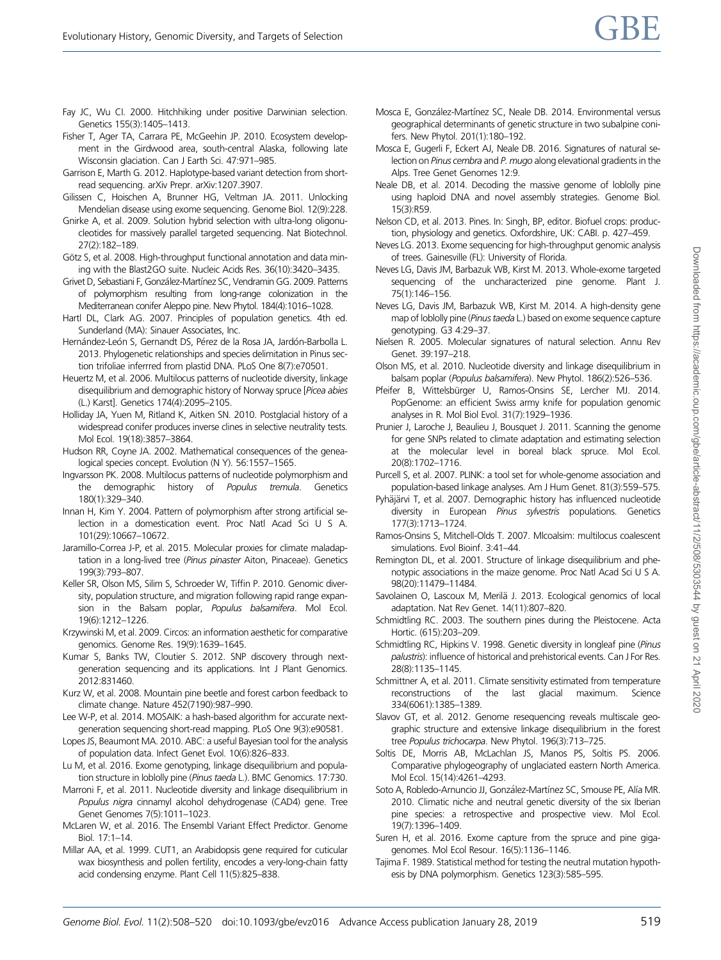- <span id="page-11-0"></span>Fay JC, Wu CI. 2000. Hitchhiking under positive Darwinian selection. Genetics 155(3):1405–1413.
- Fisher T, Ager TA, Carrara PE, McGeehin JP. 2010. Ecosystem development in the Girdwood area, south-central Alaska, following late Wisconsin glaciation. Can J Earth Sci. 47:971–985.
- Garrison E, Marth G. 2012. Haplotype-based variant detection from shortread sequencing. arXiv Prepr. arXiv:1207.3907.
- Gilissen C, Hoischen A, Brunner HG, Veltman JA. 2011. Unlocking Mendelian disease using exome sequencing. Genome Biol. 12(9):228.
- Gnirke A, et al. 2009. Solution hybrid selection with ultra-long oligonucleotides for massively parallel targeted sequencing. Nat Biotechnol. 27(2):182–189.
- Götz S, et al. 2008. High-throughput functional annotation and data mining with the Blast2GO suite. Nucleic Acids Res. 36(10):3420–3435.
- Grivet D, Sebastiani F, González-Martínez SC, Vendramin GG. 2009. Patterns of polymorphism resulting from long-range colonization in the Mediterranean conifer Aleppo pine. New Phytol. 184(4):1016–1028.
- Hartl DL, Clark AG. 2007. Principles of population genetics. 4th ed. Sunderland (MA): Sinauer Associates, Inc.
- Hernández-León S, Gernandt DS, Pérez de la Rosa JA, Jardón-Barbolla L. 2013. Phylogenetic relationships and species delimitation in Pinus section trifoliae inferrred from plastid DNA. PLoS One 8(7):e70501.
- Heuertz M, et al. 2006. Multilocus patterns of nucleotide diversity, linkage disequilibrium and demographic history of Norway spruce [Picea abies (L.) Karst]. Genetics 174(4):2095–2105.
- Holliday JA, Yuen M, Ritland K, Aitken SN. 2010. Postglacial history of a widespread conifer produces inverse clines in selective neutrality tests. Mol Ecol. 19(18):3857–3864.
- Hudson RR, Coyne JA. 2002. Mathematical consequences of the genealogical species concept. Evolution (N Y). 56:1557–1565.
- Ingvarsson PK. 2008. Multilocus patterns of nucleotide polymorphism and the demographic history of Populus tremula. Genetics 180(1):329–340.
- Innan H, Kim Y. 2004. Pattern of polymorphism after strong artificial selection in a domestication event. Proc Natl Acad Sci U S A. 101(29):10667–10672.
- Jaramillo-Correa J-P, et al. 2015. Molecular proxies for climate maladaptation in a long-lived tree (Pinus pinaster Aiton, Pinaceae). Genetics 199(3):793–807.
- Keller SR, Olson MS, Silim S, Schroeder W, Tiffin P. 2010. Genomic diversity, population structure, and migration following rapid range expansion in the Balsam poplar, Populus balsamifera. Mol Ecol. 19(6):1212–1226.
- Krzywinski M, et al. 2009. Circos: an information aesthetic for comparative genomics. Genome Res. 19(9):1639–1645.
- Kumar S, Banks TW, Cloutier S. 2012. SNP discovery through nextgeneration sequencing and its applications. Int J Plant Genomics. 2012:831460.
- Kurz W, et al. 2008. Mountain pine beetle and forest carbon feedback to climate change. Nature 452(7190):987–990.
- Lee W-P, et al. 2014. MOSAIK: a hash-based algorithm for accurate nextgeneration sequencing short-read mapping. PLoS One 9(3):e90581.
- Lopes JS, Beaumont MA. 2010. ABC: a useful Bayesian tool for the analysis of population data. Infect Genet Evol. 10(6):826–833.
- Lu M, et al. 2016. Exome genotyping, linkage disequilibrium and population structure in loblolly pine (Pinus taeda L.). BMC Genomics. 17:730.
- Marroni F, et al. 2011. Nucleotide diversity and linkage disequilibrium in Populus nigra cinnamyl alcohol dehydrogenase (CAD4) gene. Tree Genet Genomes 7(5):1011–1023.
- McLaren W, et al. 2016. The Ensembl Variant Effect Predictor. Genome Biol. 17:1–14.
- Millar AA, et al. 1999. CUT1, an Arabidopsis gene required for cuticular wax biosynthesis and pollen fertility, encodes a very-long-chain fatty acid condensing enzyme. Plant Cell 11(5):825–838.
- Mosca E, González-Martínez SC, Neale DB. 2014. Environmental versus geographical determinants of genetic structure in two subalpine conifers. New Phytol. 201(1):180–192.
- Mosca E, Gugerli F, Eckert AJ, Neale DB. 2016. Signatures of natural selection on Pinus cembra and P. mugo along elevational gradients in the Alps. Tree Genet Genomes 12:9.
- Neale DB, et al. 2014. Decoding the massive genome of loblolly pine using haploid DNA and novel assembly strategies. Genome Biol. 15(3):R59.
- Nelson CD, et al. 2013. Pines. In: Singh, BP, editor. Biofuel crops: production, physiology and genetics. Oxfordshire, UK: CABI. p. 427–459.
- Neves LG. 2013. Exome sequencing for high-throughput genomic analysis of trees. Gainesville (FL): University of Florida.
- Neves LG, Davis JM, Barbazuk WB, Kirst M. 2013. Whole-exome targeted sequencing of the uncharacterized pine genome. Plant J. 75(1):146–156.
- Neves LG, Davis JM, Barbazuk WB, Kirst M. 2014. A high-density gene map of loblolly pine (Pinus taeda L.) based on exome sequence capture genotyping. G3 4:29–37.
- Nielsen R. 2005. Molecular signatures of natural selection. Annu Rev Genet. 39:197–218.
- Olson MS, et al. 2010. Nucleotide diversity and linkage disequilibrium in balsam poplar (Populus balsamifera). New Phytol. 186(2):526–536.
- Pfeifer B, Wittelsbürger U, Ramos-Onsins SE, Lercher MJ. 2014. PopGenome: an efficient Swiss army knife for population genomic analyses in R. Mol Biol Evol. 31(7):1929–1936.
- Prunier J, Laroche J, Beaulieu J, Bousquet J. 2011. Scanning the genome for gene SNPs related to climate adaptation and estimating selection at the molecular level in boreal black spruce. Mol Ecol. 20(8):1702–1716.
- Purcell S, et al. 2007. PLINK: a tool set for whole-genome association and population-based linkage analyses. Am J Hum Genet. 81(3):559–575.
- Pyhäjärvi T, et al. 2007. Demographic history has influenced nucleotide diversity in European Pinus sylvestris populations. Genetics 177(3):1713–1724.
- Ramos-Onsins S, Mitchell-Olds T. 2007. Mlcoalsim: multilocus coalescent simulations. Evol Bioinf. 3:41–44.
- Remington DL, et al. 2001. Structure of linkage disequilibrium and phenotypic associations in the maize genome. Proc Natl Acad Sci U S A. 98(20):11479–11484.
- Savolainen O, Lascoux M, Merilä J. 2013. Ecological genomics of local adaptation. Nat Rev Genet. 14(11):807–820.
- Schmidtling RC. 2003. The southern pines during the Pleistocene. Acta Hortic. (615):203–209.
- Schmidtling RC, Hipkins V. 1998. Genetic diversity in longleaf pine (Pinus palustris): influence of historical and prehistorical events. Can J For Res. 28(8):1135–1145.
- Schmittner A, et al. 2011. Climate sensitivity estimated from temperature reconstructions of the last glacial maximum. Science 334(6061):1385–1389.
- Slavov GT, et al. 2012. Genome resequencing reveals multiscale geographic structure and extensive linkage disequilibrium in the forest tree Populus trichocarpa. New Phytol. 196(3):713–725.
- Soltis DE, Morris AB, McLachlan JS, Manos PS, Soltis PS. 2006. Comparative phylogeography of unglaciated eastern North America. Mol Ecol. 15(14):4261–4293.
- Soto A, Robledo-Arnuncio JJ, González-Martínez SC, Smouse PE, Alía MR. 2010. Climatic niche and neutral genetic diversity of the six Iberian pine species: a retrospective and prospective view. Mol Ecol. 19(7):1396–1409.
- Suren H, et al. 2016. Exome capture from the spruce and pine gigagenomes. Mol Ecol Resour. 16(5):1136–1146.
- Tajima F. 1989. Statistical method for testing the neutral mutation hypothesis by DNA polymorphism. Genetics 123(3):585–595.